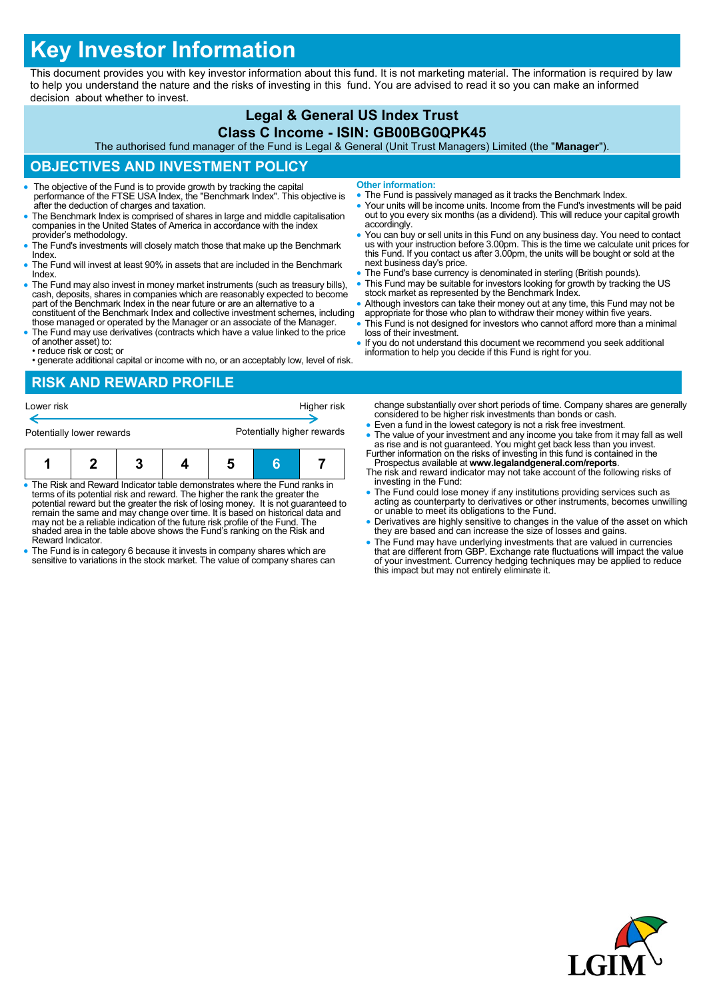# **Key Investor Information**

This document provides you with key investor information about this fund. It is not marketing material. The information is required by law to help you understand the nature and the risks of investing in this fund. You are advised to read it so you can make an informed decision about whether to invest.

#### **Legal & General US Index Trust Class C Income - ISIN: GB00BG0QPK45**

The authorised fund manager of the Fund is Legal & General (Unit Trust Managers) Limited (the "**Manager**").

## **OBJECTIVES AND INVESTMENT POLICY**

- The objective of the Fund is to provide growth by tracking the capital performance of the FTSE USA Index, the "Benchmark Index". This objective is after the deduction of charges and taxation.
- The Benchmark Index is comprised of shares in large and middle capitalisation companies in the United States of America in accordance with the index provider's methodology.
- The Fund's investments will closely match those that make up the Benchmark Index.
- The Fund will invest at least 90% in assets that are included in the Benchmark Index.
- The Fund may also invest in money market instruments (such as treasury bills), cash, deposits, shares in companies which are reasonably expected to become part of the Benchmark Index in the near future or are an alternat constituent of the Benchmark Index and collective investment schemes, including
- those managed or operated by the Manager or an associate of the Manager. The Fund may use derivatives (contracts which have a value linked to the price
- of another asset) to: • reduce risk or cost; or
- generate additional capital or income with no, or an acceptably low, level of risk.

**Other information:**

- The Fund is passively managed as it tracks the Benchmark Index.
- Your units will be income units. Income from the Fund's investments will be paid out to you every six months (as a dividend). This will reduce your capital growth accordingly.
- You can buy or sell units in this Fund on any business day. You need to contact us with your instruction before 3.00pm. This is the time we calculate unit prices for this Fund. If you contact us after 3.00pm, the units will be bought or sold at the next business day's price.
- The Fund's base currency is denominated in sterling (British pounds). This Fund may be suitable for investors looking for growth by tracking the US
- stock market as represented by the Benchmark Index.
- Although investors can take their money out at any time, this Fund may not be appropriate for those who plan to withdraw their money within five years.
- This Fund is not designed for investors who cannot afford more than a minimal loss of their investment.
- If you do not understand this document we recommend you seek additional information to help you decide if this Fund is right for you.

#### **RISK AND REWARD PROFILE**

| Lower risk<br>Potentially lower rewards |  |  |  | Higher risk<br>Potentially higher rewards |   |  |  |
|-----------------------------------------|--|--|--|-------------------------------------------|---|--|--|
|                                         |  |  |  |                                           | ĥ |  |  |

- The Risk and Reward Indicator table demonstrates where the Fund ranks in terms of its potential risk and reward. The higher the rank the greater the potential reward but the greater the risk of losing money. It is not guaranteed to remain the same and may change over time. It is based on historical data and may not be a reliable indication of the future risk profile of the Fund. The shaded area in the table above shows the Fund's ranking on the Risk and Reward Indicator.
- The Fund is in category 6 because it invests in company shares which are sensitive to variations in the stock market. The value of company shares can
- change substantially over short periods of time. Company shares are generally considered to be higher risk investments than bonds or cash.
- Even a fund in the lowest category is not a risk free investment.
- The value of your investment and any income you take from it may fall as well as rise and is not guaranteed. You might get back less than you invest. Further information on the risks of investing in this fund is containe
- Prospectus available at **www.legalandgeneral.com/reports**. The risk and reward indicator may not take account of the following risks of
- investing in the Fund: The Fund could lose money if any institutions providing services such as acting as counterparty to derivatives or other instruments, becomes unwilling or unable to meet its obligations to the Fund.
- Derivatives are highly sensitive to changes in the value of the asset on which they are based and can increase the size of losses and gains.
- The Fund may have underlying investments that are valued in currencies<br>that are different from GBP. Exchange rate fluctuations will impact the value<br>of your investment. Currency hedging techniques may be applied to reduc